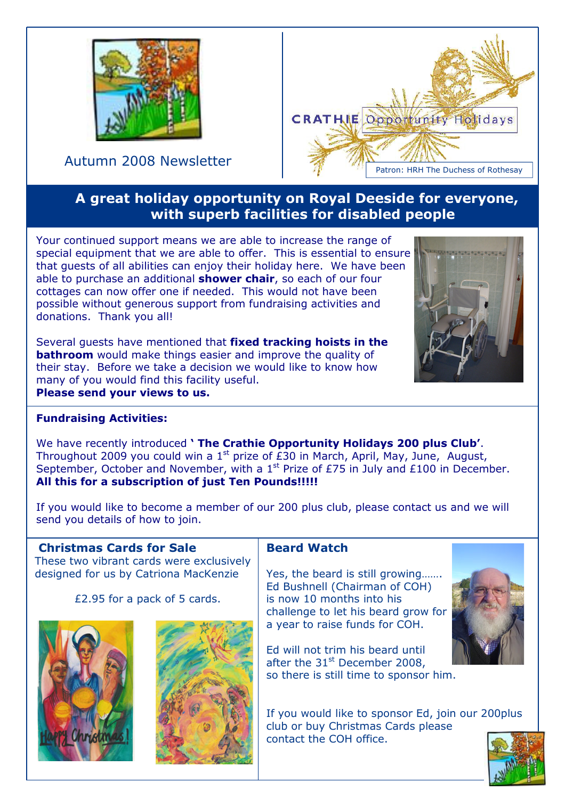

Autumn 2008 Newsletter



# A great holiday opportunity on Royal Deeside for everyone, with superb facilities for disabled people

Your continued support means we are able to increase the range of special equipment that we are able to offer. This is essential to ensure that guests of all abilities can enjoy their holiday here. We have been able to purchase an additional **shower chair**, so each of our four cottages can now offer one if needed. This would not have been possible without generous support from fundraising activities and donations. Thank you all!

Several quests have mentioned that fixed tracking hoists in the **bathroom** would make things easier and improve the quality of their stay. Before we take a decision we would like to know how many of you would find this facility useful. Please send your views to us.



## Fundraising Activities:

We have recently introduced ' The Crathie Opportunity Holidays 200 plus Club'. Throughout 2009 you could win a  $1<sup>st</sup>$  prize of £30 in March, April, May, June, August, September, October and November, with a 1<sup>st</sup> Prize of £75 in July and £100 in December. All this for a subscription of just Ten Pounds!!!!!

If you would like to become a member of our 200 plus club, please contact us and we will send you details of how to join.

## Christmas Cards for Sale

These two vibrant cards were exclusively designed for us by Catriona MacKenzie

£2.95 for a pack of 5 cards.





## Beard Watch

Yes, the beard is still growing……. Ed Bushnell (Chairman of COH) is now 10 months into his challenge to let his beard grow for a year to raise funds for COH.

Ed will not trim his beard until after the  $31<sup>st</sup>$  December 2008, so there is still time to sponsor him.

If you would like to sponsor Ed, join our 200plus club or buy Christmas Cards please contact the COH office.